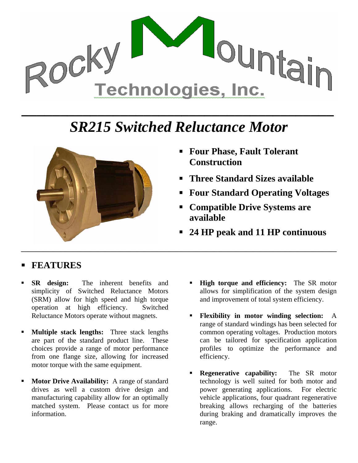

## *SR215 Switched Reluctance Motor*



- **Four Phase, Fault Tolerant Construction**
- **Three Standard Sizes available**
- **Four Standard Operating Voltages**
- **Compatible Drive Systems are available**
- **24 HP peak and 11 HP continuous**

## **FEATURES**

- **SR design:** The inherent benefits and simplicity of Switched Reluctance Motors (SRM) allow for high speed and high torque operation at high efficiency. Switched Reluctance Motors operate without magnets.
- **Multiple stack lengths:** Three stack lengths are part of the standard product line. These choices provide a range of motor performance from one flange size, allowing for increased motor torque with the same equipment.
- **Motor Drive Availability:** A range of standard drives as well a custom drive design and manufacturing capability allow for an optimally matched system. Please contact us for more information.
- **High torque and efficiency:** The SR motor allows for simplification of the system design and improvement of total system efficiency.
- **Flexibility in motor winding selection:** A range of standard windings has been selected for common operating voltages. Production motors can be tailored for specification application profiles to optimize the performance and efficiency.
- **Regenerative capability:** The SR motor technology is well suited for both motor and power generating applications. For electric vehicle applications, four quadrant regenerative breaking allows recharging of the batteries during braking and dramatically improves the range.